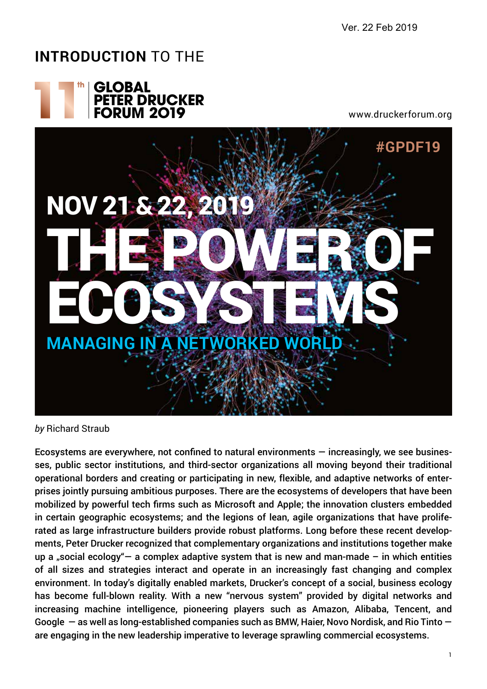Ver. 22 Feb 2019

## **Introduction** to the



www.druckerforum.org



*by* Richard Straub

Ecosystems are everywhere, not confined to natural environments  $-$  increasingly, we see businesses, public sector institutions, and third-sector organizations all moving beyond their traditional operational borders and creating or participating in new, flexible, and adaptive networks of enterprises jointly pursuing ambitious purposes. There are the ecosystems of developers that have been mobilized by powerful tech firms such as Microsoft and Apple; the innovation clusters embedded in certain geographic ecosystems; and the legions of lean, agile organizations that have proliferated as large infrastructure builders provide robust platforms. Long before these recent developments, Peter Drucker recognized that complementary organizations and institutions together make up a "social ecology" – a complex adaptive system that is new and man-made – in which entities of all sizes and strategies interact and operate in an increasingly fast changing and complex environment. In today's digitally enabled markets, Drucker's concept of a social, business ecology has become full-blown reality. With a new "nervous system" provided by digital networks and increasing machine intelligence, pioneering players such as Amazon, Alibaba, Tencent, and Google — as well as long-established companies such as BMW, Haier, Novo Nordisk, and Rio Tinto are engaging in the new leadership imperative to leverage sprawling commercial ecosystems.